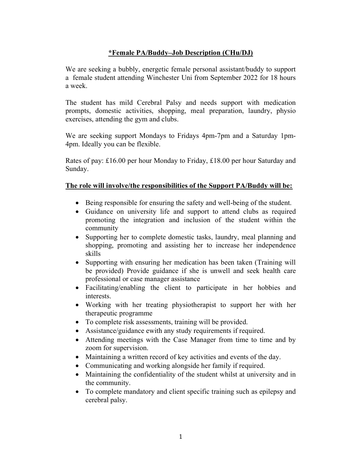### \*Female PA/Buddy–Job Description (CHu/DJ)

We are seeking a bubbly, energetic female personal assistant/buddy to support a female student attending Winchester Uni from September 2022 for 18 hours a week.

The student has mild Cerebral Palsy and needs support with medication prompts, domestic activities, shopping, meal preparation, laundry, physio exercises, attending the gym and clubs.

We are seeking support Mondays to Fridays 4pm-7pm and a Saturday 1pm-4pm. Ideally you can be flexible.

Rates of pay: £16.00 per hour Monday to Friday, £18.00 per hour Saturday and Sunday.

#### The role will involve/the responsibilities of the Support PA/Buddy will be:

- Being responsible for ensuring the safety and well-being of the student.
- Guidance on university life and support to attend clubs as required promoting the integration and inclusion of the student within the community
- Supporting her to complete domestic tasks, laundry, meal planning and shopping, promoting and assisting her to increase her independence skills
- Supporting with ensuring her medication has been taken (Training will be provided) Provide guidance if she is unwell and seek health care professional or case manager assistance
- Facilitating/enabling the client to participate in her hobbies and interests.
- Working with her treating physiotherapist to support her with her therapeutic programme
- To complete risk assessments, training will be provided.
- Assistance/guidance ewith any study requirements if required.
- Attending meetings with the Case Manager from time to time and by zoom for supervision.
- Maintaining a written record of key activities and events of the day.
- Communicating and working alongside her family if required.
- Maintaining the confidentiality of the student whilst at university and in the community.
- To complete mandatory and client specific training such as epilepsy and cerebral palsy.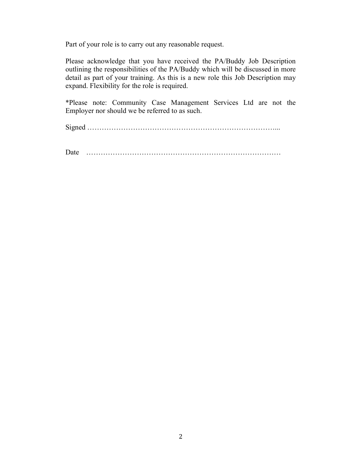Part of your role is to carry out any reasonable request.

Please acknowledge that you have received the PA/Buddy Job Description outlining the responsibilities of the PA/Buddy which will be discussed in more detail as part of your training. As this is a new role this Job Description may expand. Flexibility for the role is required.

\*Please note: Community Case Management Services Ltd are not the Employer nor should we be referred to as such.

Signed ……………………………………………………………………...

Date ………………………………………………………………………